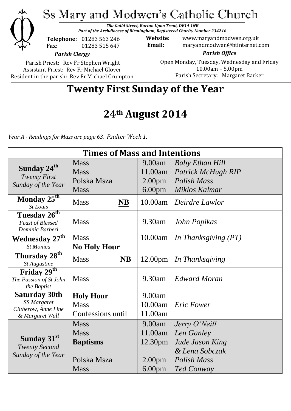

Parish Priest: Rev Fr Stephen Wright Assistant Priest: Rev Fr Michael Glover Resident in the parish: Rev Fr Michael Crumpton Open Monday, Tuesday, Wednesday and Friday 10.00am – 5.00pm Parish Secretary:Margaret Barker

# **Twenty First Sunday of the Year**

# **24th August 2014**

*Year A - Readings for Mass are page 63. Psalter Week 1.*

| <b>Times of Mass and Intentions</b>                                   |                                    |                     |                        |
|-----------------------------------------------------------------------|------------------------------------|---------------------|------------------------|
| Sunday 24 <sup>th</sup><br><b>Twenty First</b><br>Sunday of the Year  | <b>Mass</b>                        | 9.00am              | <b>Baby Ethan Hill</b> |
|                                                                       | <b>Mass</b>                        | 11.00am             | Patrick McHugh RIP     |
|                                                                       | Polska Msza                        | 2.00 <sub>pm</sub>  | Polish Mass            |
|                                                                       | <b>Mass</b>                        | 6.00 <sub>pm</sub>  | Miklos Kalmar          |
| Monday 25 <sup>th</sup><br><b>St Louis</b>                            | <b>Mass</b><br>$\overline{\bf NB}$ | 10.00am             | Deirdre Lawlor         |
| Tuesday 26 <sup>th</sup>                                              |                                    |                     |                        |
| <b>Feast of Blessed</b>                                               | <b>Mass</b>                        | 9.30am              | John Popikas           |
| Dominic Barberi                                                       |                                    |                     |                        |
| <b>Wednesday 27th</b>                                                 | <b>Mass</b>                        | 10.00am             | In Thanksgiving (PT)   |
| St Monica                                                             | <b>No Holy Hour</b>                |                     |                        |
| Thursday 28 <sup>th</sup><br>St Augustine                             | <b>NB</b><br><b>Mass</b>           | 12.00 <sub>pm</sub> | In Thanksgiving        |
| Friday $2\overline{9^{th}}$<br>The Passion of St John<br>the Baptist  | <b>Mass</b>                        | 9.30am              | Edward Moran           |
| <b>Saturday 30th</b>                                                  | <b>Holy Hour</b>                   | 9.00am              |                        |
| <b>SS Margaret</b>                                                    | <b>Mass</b>                        | 10.00am             | <b>Eric Fower</b>      |
| Clitherow, Anne Line<br>& Margaret Wall                               | Confessions until                  | 11.00am             |                        |
| Sunday 31 <sup>st</sup><br><b>Twenty Second</b><br>Sunday of the Year | <b>Mass</b>                        | 9.00am              | Jerry O'Neill          |
|                                                                       | <b>Mass</b>                        | 11.00am             | Len Ganley             |
|                                                                       | <b>Baptisms</b>                    | 12.30pm             | Jude Jason King        |
|                                                                       |                                    |                     | & Lena Sobczak         |
|                                                                       | Polska Msza                        | 2.00 <sub>pm</sub>  | <b>Polish Mass</b>     |
|                                                                       | <b>Mass</b>                        | 6.00 <sub>pm</sub>  | Ted Conway             |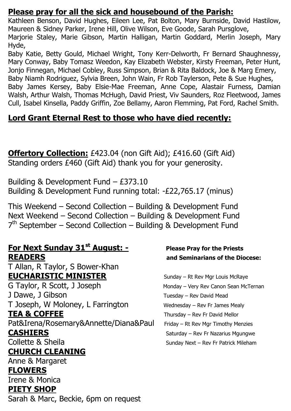### **Please pray for all the sick and housebound of the Parish:**

Kathleen Benson, David Hughes, Eileen Lee, Pat Bolton, Mary Burnside, David Hastilow, Maureen & Sidney Parker, Irene Hill, Olive Wilson, Eve Goode, Sarah Pursglove, Marjorie Staley, Marie Gibson, Martin Halligan, Martin Goddard, Merlin Joseph, Mary Hyde,

Baby Katie, Betty Gould, Michael Wright, Tony Kerr-Delworth, Fr Bernard Shaughnessy, Mary Conway, Baby Tomasz Weedon, Kay Elizabeth Webster, Kirsty Freeman, Peter Hunt, Jonjo Finnegan, Michael Cobley, Russ Simpson, Brian & Rita Baldock, Joe & Marg Emery, Baby Niamh Rodriguez, Sylvia Breen, John Wain, Fr Rob Taylerson, Pete & Sue Hughes, Baby James Kersey, Baby Elsie-Mae Freeman, Anne Cope, Alastair Furness, Damian Walsh, Arthur Walsh, Thomas McHugh, David Priest, Viv Saunders, Roz Fleetwood, James Cull, Isabel Kinsella, Paddy Griffin, Zoe Bellamy, Aaron Flemming, Pat Ford, Rachel Smith.

## **Lord Grant Eternal Rest to those who have died recently:**

**Offertory Collection:** £423.04 (non Gift Aid); £416.60 (Gift Aid) Standing orders £460 (Gift Aid) thank you for your generosity.

Building & Development Fund – £373.10 Building & Development Fund running total: -£22,765.17 (minus)

This Weekend – Second Collection – Building & Development Fund Next Weekend – Second Collection – Building & Development Fund 7<sup>th</sup> September – Second Collection – Building & Development Fund

## **For Next Sunday 31st August: - Please Pray for the Priests READERS and Seminarians of the Diocese:**

T Allan, R Taylor, S Bower-Khan **EUCHARISTIC MINISTER** Sunday – Rt Rev Mgr Louis McRaye

G Taylor, R Scott, J Joseph Monday – Very Rev Canon Sean McTernan J Dawe, J Gibson Tuesday – Rev David Mead T Joseph, W Moloney, L Farrington Wednesday – Rev Fr James Mealy **TEA & COFFEE** Thursday – Rev Fr David Mellor Pat&Irena/Rosemary&Annette/Diana&Paul Friday – Rt Rev Mgr Timothy Menzies **CASHIERS** Saturday – Rev Fr Nazarius Mgungwe Collette & Sheila Sunday Next – Rev Fr Patrick Mileham

# **CHURCH CLEANING**

Anne & Margaret

### **FLOWERS**

Irene & Monica

### **PIETY SHOP**

Sarah & Marc, Beckie, 6pm on request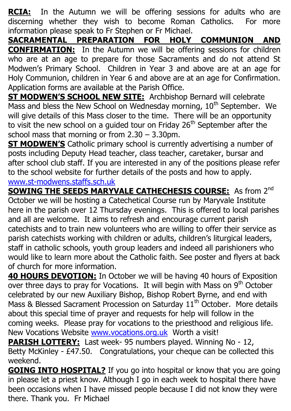**RCIA:** In the Autumn we will be offering sessions for adults who are discerning whether they wish to become Roman Catholics. For more information please speak to Fr Stephen or Fr Michael.

**SACRAMENTAL PREPARATION FOR HOLY COMMUNION AND CONFIRMATION:** In the Autumn we will be offering sessions for children who are at an age to prepare for those Sacraments and do not attend St Modwen's Primary School. Children in Year 3 and above are at an age for Holy Communion, children in Year 6 and above are at an age for Confirmation. Application forms are available at the Parish Office.

**ST MODWEN'S SCHOOL NEW SITE:** Archbishop Bernard will celebrate  $\overline{M}$  Mass and bless the New School on Wednesday morning,  $10^{th}$  September. We will give details of this Mass closer to the time. There will be an opportunity to visit the new school on a guided tour on Friday  $26<sup>th</sup>$  September after the school mass that morning or from 2.30 – 3.30pm.

**ST MODWEN'S** Catholic primary school is currently advertising a number of posts including Deputy Head teacher, class teacher, caretaker, bursar and after school club staff. If you are interested in any of the positions please refer to the school website for further details of the posts and how to apply. [www.st-modwens.staffs.sch.uk](http://www.st-modwens.staffs.sch.uk/)

**SOWING THE SEEDS MARYVALE CATHECHESIS COURSE:** As from 2<sup>nd</sup> October we will be hosting a Catechetical Course run by Maryvale Institute here in the parish over 12 Thursday evenings. This is offered to local parishes and all are welcome. It aims to refresh and encourage current parish catechists and to train new volunteers who are willing to offer their service as parish catechists working with children or adults, children's liturgical leaders, staff in catholic schools, youth group leaders and indeed all parishioners who would like to learn more about the Catholic faith. See poster and flyers at back of church for more information.

**40 HOURS DEVOTION:** In October we will be having 40 hours of Exposition over three days to pray for Vocations. It will begin with Mass on 9<sup>th</sup> October celebrated by our new Auxiliary Bishop, Bishop Robert Byrne, and end with Mass & Blessed Sacrament Procession on Saturday  $11<sup>th</sup>$  October. More details about this special time of prayer and requests for help will follow in the coming weeks. Please pray for vocations to the priesthood and religious life. New Vocations Website [www.vocations.org.uk](http://www.vocations.org.uk/) Worth a visit!

**PARISH LOTTERY:** Last week- 95 numbers played. Winning No - 12, Betty McKinley - £47.50. Congratulations, your cheque can be collected this weekend.

**GOING INTO HOSPITAL?** If you go into hospital or know that you are going in please let a priest know. Although I go in each week to hospital there have been occasions when I have missed people because I did not know they were there. Thank you. Fr Michael